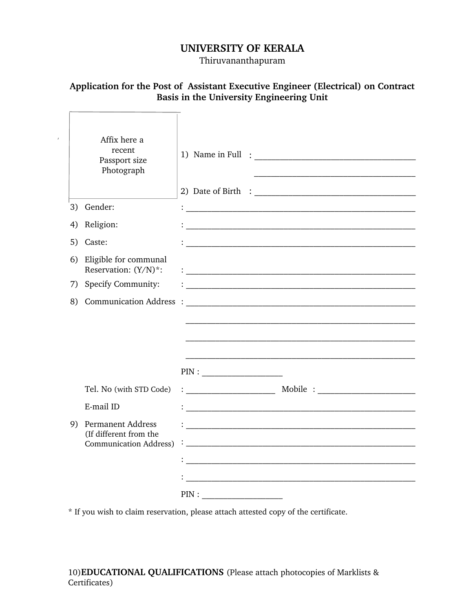## **UNIVERSITY OF KERALA**

Thiruvananthapuram

## **Application for the Post of Assistant Executive Engineer (Electrical) on Contract Basis in the University Engineering Unit**

|    | Affix here a<br>recent<br>Passport size<br>Photograph   |               |
|----|---------------------------------------------------------|---------------|
|    | 3) Gender:                                              |               |
| 4) | Religion:                                               |               |
| 5) | Caste:                                                  |               |
| 6) | Eligible for communal<br>Reservation: (Y/N)*:           |               |
| 7) | <b>Specify Community:</b>                               |               |
| 8) | <b>Communication Address</b>                            | $\cdot$ :     |
|    |                                                         |               |
|    |                                                         |               |
|    |                                                         |               |
|    |                                                         | $\text{PIN}:$ |
|    | Tel. No (with STD Code)                                 |               |
|    | E-mail ID                                               |               |
| 9) | Permanent Address                                       |               |
|    | (If different from the<br><b>Communication Address)</b> |               |
|    |                                                         |               |
|    |                                                         |               |
|    |                                                         | $\text{PIN}:$ |

\* If you wish to claim reservation, please attach attested copy of the certificate.